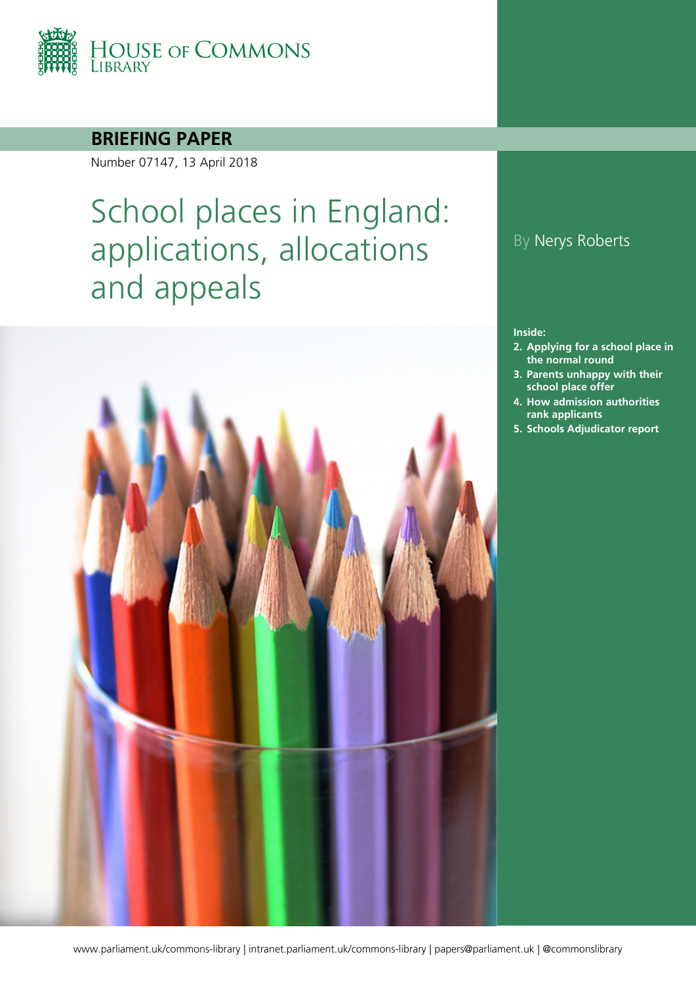

### **BRIEFING PAPER**

Number 07147, 13 April 2018

# School places in England: applications, allocations and appeals



### By Nerys Roberts

#### **Inside:**

- **2. [Applying for a school](#page-6-0) place in [the normal round](#page-6-0)**
- **3. [Parents unhappy with their](#page-11-0)  [school place offer](#page-11-0)**
- **4. [How admission authorities](#page-15-0)  [rank applicants](#page-15-0)**
- **5. [Schools Adjudicator report](#page-20-0)**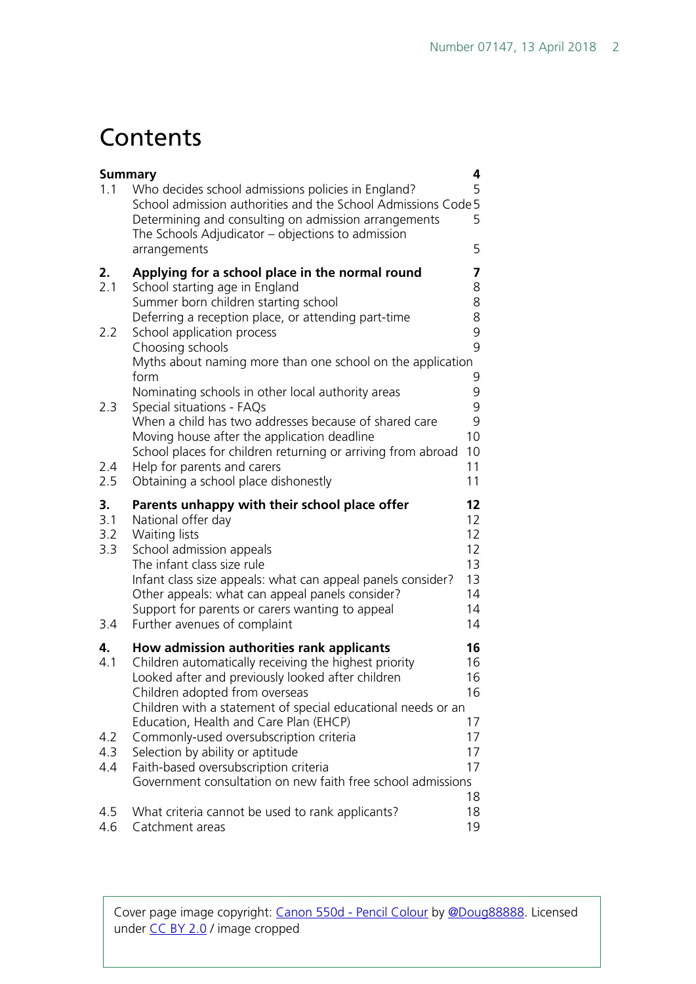## **Contents**

| <b>Summary</b>          |                                                                                                                                                                                                                                                                                                                     | 4                                            |
|-------------------------|---------------------------------------------------------------------------------------------------------------------------------------------------------------------------------------------------------------------------------------------------------------------------------------------------------------------|----------------------------------------------|
| 1.1                     | Who decides school admissions policies in England?<br>School admission authorities and the School Admissions Code 5<br>Determining and consulting on admission arrangements<br>The Schools Adjudicator – objections to admission<br>arrangements                                                                    | 5<br>5<br>5                                  |
|                         |                                                                                                                                                                                                                                                                                                                     |                                              |
| 2.<br>2.1               | Applying for a school place in the normal round<br>School starting age in England<br>Summer born children starting school                                                                                                                                                                                           | 7<br>8<br>8                                  |
|                         | Deferring a reception place, or attending part-time                                                                                                                                                                                                                                                                 | 8                                            |
| 2.2                     | School application process<br>Choosing schools                                                                                                                                                                                                                                                                      | 9<br>9                                       |
|                         | Myths about naming more than one school on the application<br>form                                                                                                                                                                                                                                                  |                                              |
| 2.3                     | Nominating schools in other local authority areas<br>Special situations - FAQs                                                                                                                                                                                                                                      | 9<br>9<br>9                                  |
|                         | When a child has two addresses because of shared care<br>Moving house after the application deadline                                                                                                                                                                                                                | 9<br>10                                      |
| 2.4                     | School places for children returning or arriving from abroad<br>Help for parents and carers                                                                                                                                                                                                                         | 10<br>11                                     |
| 2.5                     | Obtaining a school place dishonestly                                                                                                                                                                                                                                                                                | 11                                           |
| 3.<br>3.1<br>3.2<br>3.3 | Parents unhappy with their school place offer<br>National offer day<br>Waiting lists<br>School admission appeals<br>The infant class size rule<br>Infant class size appeals: what can appeal panels consider?<br>Other appeals: what can appeal panels consider?<br>Support for parents or carers wanting to appeal | 12<br>12<br>12<br>12<br>13<br>13<br>14<br>14 |
| 3.4                     | Further avenues of complaint                                                                                                                                                                                                                                                                                        | 14                                           |
| 4.<br>4.1               | How admission authorities rank applicants<br>Children automatically receiving the highest priority<br>Looked after and previously looked after children<br>Children adopted from overseas<br>Children with a statement of special educational needs or an                                                           | 16<br>16<br>16<br>16                         |
| 4.2<br>4.3              | Education, Health and Care Plan (EHCP)<br>Commonly-used oversubscription criteria<br>Selection by ability or aptitude                                                                                                                                                                                               | 17<br>17<br>17                               |
| 4.4                     | Faith-based oversubscription criteria<br>Government consultation on new faith free school admissions                                                                                                                                                                                                                | 17                                           |
|                         |                                                                                                                                                                                                                                                                                                                     | 18                                           |
|                         |                                                                                                                                                                                                                                                                                                                     |                                              |

Cover page image copyright: [Canon 550d -](https://www.flickr.com/photos/doug88888/4544745031/in/photolist-7VB1mX-7C18Qe-5QuPMX-62jvff-3169bQ-5tEVW5-5tEVUL-Mm693-b5ZqJ4-6Zbcn9-8BtFUy-9rEiiy-fyAwQ6-4tmSnP-9bgDrN-4tqX5u-8YqKYW-4tqX5m-uvZKo-orWSq-aQrz5x-4nr1go-8yVMS2-rSRsY8-moCELr-epteAg-jKDYNM-uteksC-8XPhS-ve4g-7STuq4-pDrQDV-bRUnV6-5VKNLy-iZputz-8VXkZV-9YjpEZ-oskNT-byNUWK-8ccHN-9qorjQ-53kmwy-71G7N7-5VFnC8-5Y5u4o-b5ZoVr-qteqJt-5nZyed-8CwcC-kL8FNw) Pencil Colour [b](https://www.flickr.com/photos/doug88888/4544745031/in/photolist-7VB1mX-7C18Qe-5QuPMX-62jvff-3169bQ-5tEVW5-5tEVUL-Mm693-b5ZqJ4-6Zbcn9-8BtFUy-9rEiiy-fyAwQ6-4tmSnP-9bgDrN-4tqX5u-8YqKYW-4tqX5m-uvZKo-orWSq-aQrz5x-4nr1go-8yVMS2-rSRsY8-moCELr-epteAg-jKDYNM-uteksC-8XPhS-ve4g-7STuq4-pDrQDV-bRUnV6-5VKNLy-iZputz-8VXkZV-9YjpEZ-oskNT-byNUWK-8ccHN-9qorjQ-53kmwy-71G7N7-5VFnC8-5Y5u4o-b5ZoVr-qteqJt-5nZyed-8CwcC-kL8FNw)y [@Doug88888.](https://www.flickr.com/photos/doug88888/) Licensed under [CC BY 2.0](https://creativecommons.org/licenses/by-nc-sa/2.0/) [/](https://creativecommons.org/licenses/by-nc-sa/2.0/) image cropped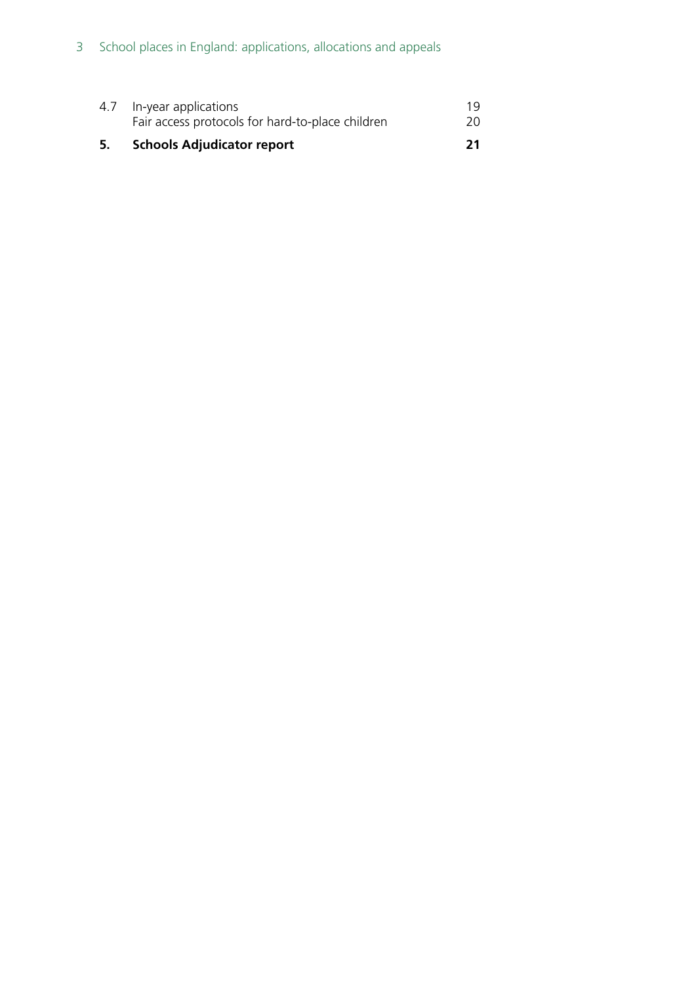| 5. Schools Adjudicator report                    | 21 |
|--------------------------------------------------|----|
| Fair access protocols for hard-to-place children | 20 |
| 4.7 In-year applications                         | 19 |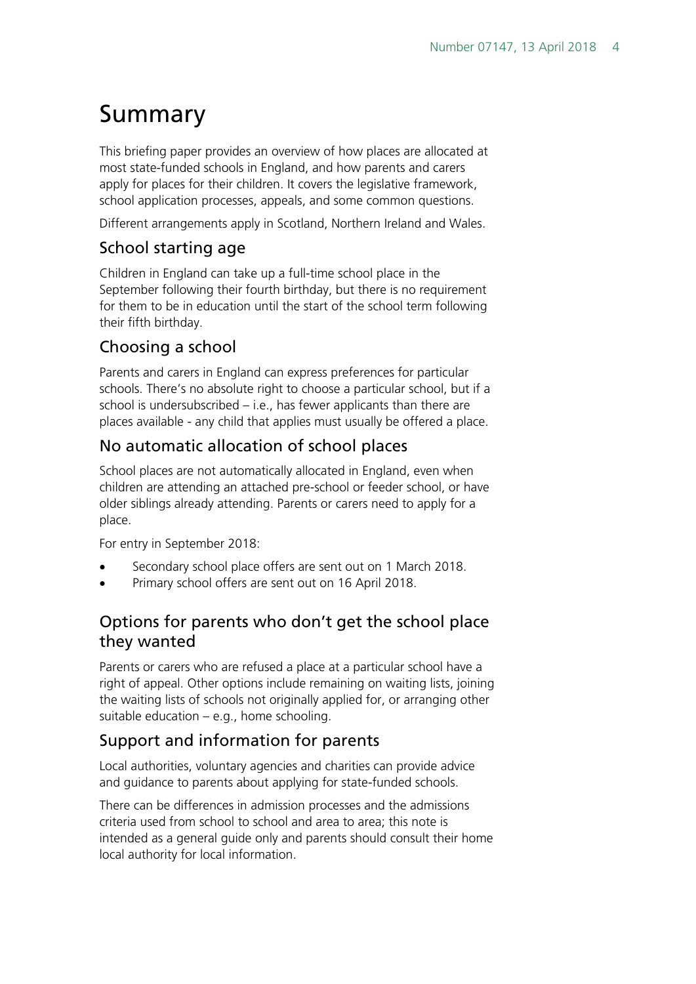## <span id="page-3-0"></span>Summary

This briefing paper provides an overview of how places are allocated at most state-funded schools in England, and how parents and carers apply for places for their children. It covers the legislative framework, school application processes, appeals, and some common questions.

Different arrangements apply in Scotland, Northern Ireland and Wales.

### School starting age

Children in England can take up a full-time school place in the September following their fourth birthday, but there is no requirement for them to be in education until the start of the school term following their fifth birthday.

### Choosing a school

Parents and carers in England can express preferences for particular schools. There's no absolute right to choose a particular school, but if a school is undersubscribed – i.e., has fewer applicants than there are places available - any child that applies must usually be offered a place.

### No automatic allocation of school places

School places are not automatically allocated in England, even when children are attending an attached pre-school or feeder school, or have older siblings already attending. Parents or carers need to apply for a place.

For entry in September 2018:

- Secondary school place offers are sent out on 1 March 2018.
- Primary school offers are sent out on 16 April 2018.

### Options for parents who don't get the school place they wanted

Parents or carers who are refused a place at a particular school have a right of appeal. Other options include remaining on waiting lists, joining the waiting lists of schools not originally applied for, or arranging other suitable education – e.g., home schooling.

### Support and information for parents

Local authorities, voluntary agencies and charities can provide advice and guidance to parents about applying for state-funded schools.

There can be differences in admission processes and the admissions criteria used from school to school and area to area; this note is intended as a general guide only and parents should consult their home local authority for local information.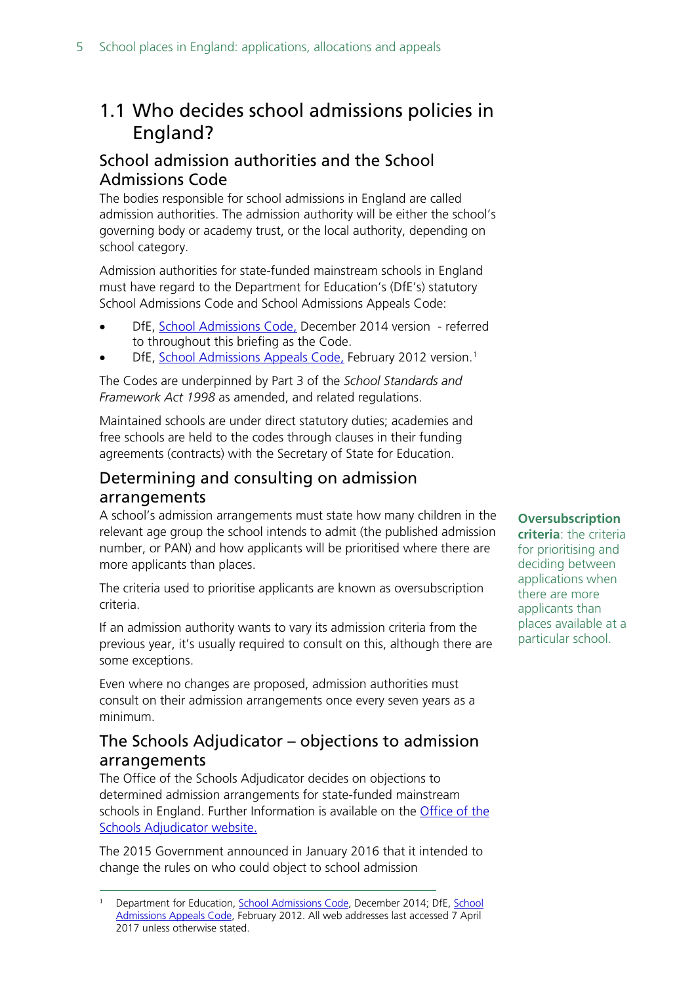## <span id="page-4-0"></span>1.1 Who decides school admissions policies in England?

### <span id="page-4-1"></span>School admission authorities and the School Admissions Code

The bodies responsible for school admissions in England are called admission authorities. The admission authority will be either the school's governing body or academy trust, or the local authority, depending on school category.

Admission authorities for state-funded mainstream schools in England must have regard to the Department for Education's (DfE's) statutory School Admissions Code and School Admissions Appeals Code:

- DfE, [School Admissions Code,](https://www.gov.uk/government/uploads/system/uploads/attachment_data/file/389388/School_Admissions_Code_2014_-_19_Dec.pdf) December 2014 version referred to throughout this briefing as the Code.
- DfE, [School Admissions Appeals Code,](https://www.gov.uk/government/publications/school-admissions-appeals-code) February 20[1](#page-4-4)2 version.<sup>1</sup>

The Codes are underpinned by Part 3 of the *School Standards and Framework Act 1998* as amended, and related regulations.

Maintained schools are under direct statutory duties; academies and free schools are held to the codes through clauses in their funding agreements (contracts) with the Secretary of State for Education.

### <span id="page-4-2"></span>Determining and consulting on admission arrangements

A school's admission arrangements must state how many children in the relevant age group the school intends to admit (the published admission number, or PAN) and how applicants will be prioritised where there are more applicants than places.

The criteria used to prioritise applicants are known as oversubscription criteria.

If an admission authority wants to vary its admission criteria from the previous year, it's usually required to consult on this, although there are some exceptions.

Even where no changes are proposed, admission authorities must consult on their admission arrangements once every seven years as a minimum.

### <span id="page-4-3"></span>The Schools Adjudicator – objections to admission arrangements

The Office of the Schools Adjudicator decides on objections to determined admission arrangements for state-funded mainstream schools in England. Further Information is available on the Office of the [Schools Adjudicator website.](http://www.education.gov.uk/schoolsadjudicator/howwecanhelp) 

The 2015 Government announced in January 2016 that it intended to change the rules on who could object to school admission

#### **Oversubscription**

**criteria**: the criteria for prioritising and deciding between applications when there are more applicants than places available at a particular school.

<span id="page-4-4"></span> $\overline{a}$ Department for Education, [School Admissions Code,](https://www.gov.uk/government/publications/school-admissions-code--2) December 2014; DfE, School [Admissions Appeals Code,](https://www.gov.uk/government/uploads/system/uploads/attachment_data/file/275897/school_admission_appeals_code_1_february_2012.pdf) February 2012. All web addresses last accessed 7 April 2017 unless otherwise stated.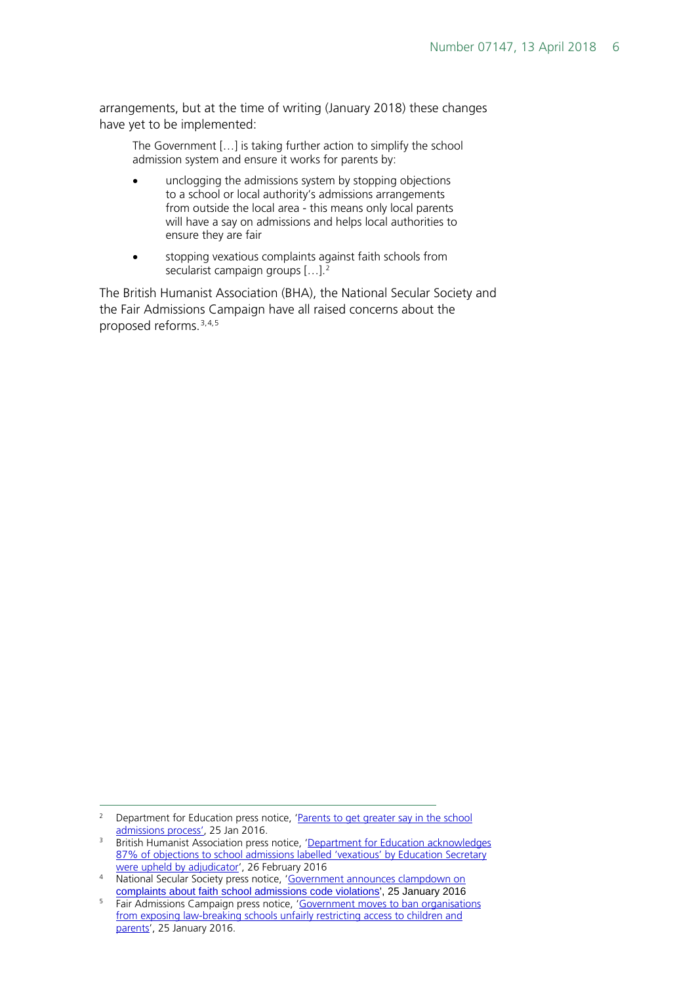arrangements, but at the time of writing (January 2018) these changes have yet to be implemented:

The Government […] is taking further action to simplify the school admission system and ensure it works for parents by:

- unclogging the admissions system by stopping objections to a school or local authority's admissions arrangements from outside the local area - this means only local parents will have a say on admissions and helps local authorities to ensure they are fair
- stopping vexatious complaints against faith schools from secularist campaign groups  $[...]^2$  $[...]^2$

The British Humanist Association (BHA), the National Secular Society and the Fair Admissions Campaign have all raised concerns about the proposed reforms.[3](#page-5-1),[4](#page-5-2),[5](#page-5-3)

<span id="page-5-0"></span><sup>&</sup>lt;sup>2</sup> Department for Education press notice, 'Parents to get greater say in the school [admissions process',](https://www.gov.uk/government/news/parents-to-get-greater-say-in-the-school-admissions-process) 25 Jan 2016.

<span id="page-5-1"></span><sup>&</sup>lt;sup>3</sup> British Humanist Association press notice, 'Department for Education acknowledges 87% of objections to school admissions labelled 'vexatious' by Education Secretary [were upheld by adjudicator',](https://humanism.org.uk/2016/02/26/department-for-education-acknowledges-87-of-objections-to-school-admissions-labelled-vexatious-by-education-secretary-were-upheld-by-adjudicator/) 26 February 2016

<span id="page-5-2"></span><sup>4</sup> National Secular Society press notice, 'Government announces clampdown on [complaints about faith school admissions code violations',](http://www.secularism.org.uk/news/2016/01/government-announces-clampdown-on-complaints-about-faith-school-admissions-code-violations) 25 January 2016

<span id="page-5-3"></span><sup>&</sup>lt;sup>5</sup> Fair Admissions Campaign press notice, 'Government moves to ban organisations from [exposing law-breaking schools unfairly restricting access to children and](http://fairadmissions.org.uk/government-moves-to-ban-organisations-from-exposing-law-breaking-schools-unfairly-restricting-access-to-children-and-parents/)  [parents'](http://fairadmissions.org.uk/government-moves-to-ban-organisations-from-exposing-law-breaking-schools-unfairly-restricting-access-to-children-and-parents/), 25 January 2016.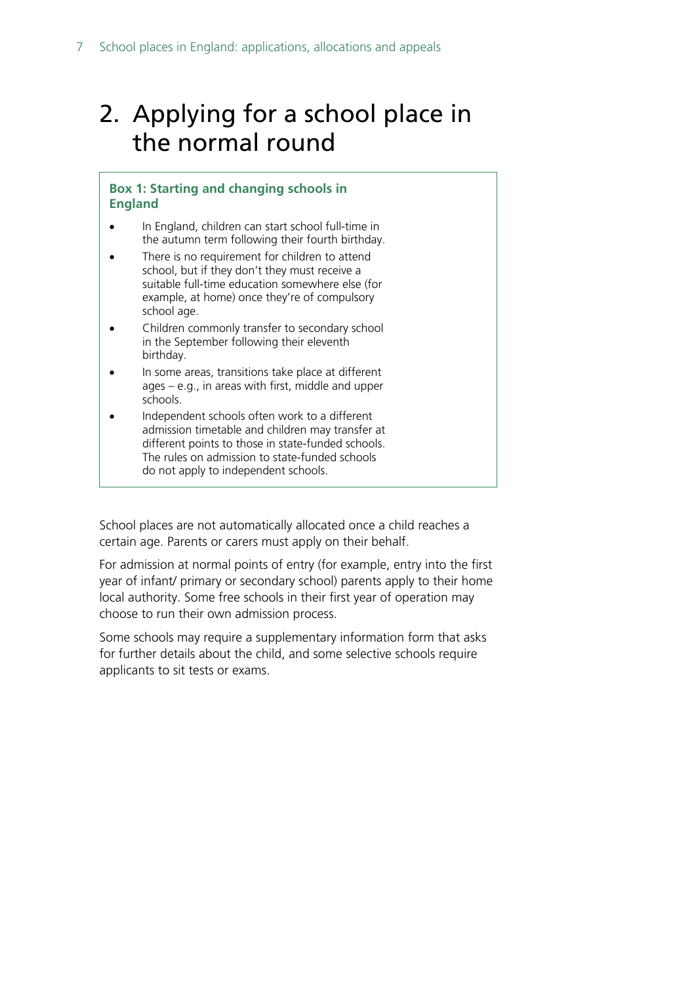## <span id="page-6-0"></span>2. Applying for a school place in the normal round

#### **Box 1: Starting and changing schools in England**

- In England, children can start school full-time in the autumn term following their fourth birthday.
- There is no requirement for children to attend school, but if they don't they must receive a suitable full-time education somewhere else (for example, at home) once they're of compulsory school age.
- Children commonly transfer to secondary school in the September following their eleventh birthday.
- In some areas, transitions take place at different ages – e.g., in areas with first, middle and upper schools.
- Independent schools often work to a different admission timetable and children may transfer at different points to those in state-funded schools. The rules on admission to state-funded schools do not apply to independent schools.

School places are not automatically allocated once a child reaches a certain age. Parents or carers must apply on their behalf.

For admission at normal points of entry (for example, entry into the first year of infant/ primary or secondary school) parents apply to their home local authority. Some free schools in their first year of operation may choose to run their own admission process.

Some schools may require a supplementary information form that asks for further details about the child, and some selective schools require applicants to sit tests or exams.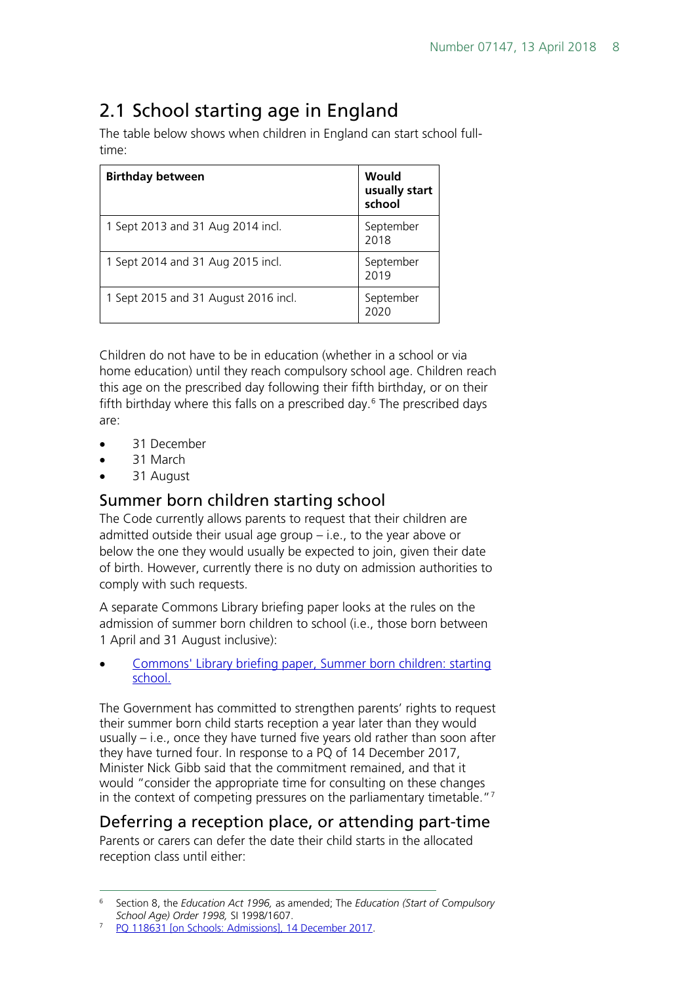## <span id="page-7-0"></span>2.1 School starting age in England

The table below shows when children in England can start school fulltime:

| <b>Birthday between</b>              | Would<br>usually start<br>school |
|--------------------------------------|----------------------------------|
| 1 Sept 2013 and 31 Aug 2014 incl.    | September<br>2018                |
| 1 Sept 2014 and 31 Aug 2015 incl.    | September<br>2019                |
| 1 Sept 2015 and 31 August 2016 incl. | September<br>2020                |

Children do not have to be in education (whether in a school or via home education) until they reach compulsory school age. Children reach this age on the prescribed day following their fifth birthday, or on their fifth birthday where this falls on a prescribed day. $6$  The prescribed days are:

- 31 December
- 31 March
- 31 August

### <span id="page-7-1"></span>Summer born children starting school

The Code currently allows parents to request that their children are admitted outside their usual age group – i.e., to the year above or below the one they would usually be expected to join, given their date of birth. However, currently there is no duty on admission authorities to comply with such requests.

A separate Commons Library briefing paper looks at the rules on the admission of summer born children to school (i.e., those born between 1 April and 31 August inclusive):

• [Commons' Library briefing paper, Summer born children: starting](http://researchbriefings.parliament.uk/ResearchBriefing/Summary/CBP-7272)  [school.](http://researchbriefings.parliament.uk/ResearchBriefing/Summary/CBP-7272) 

The Government has committed to strengthen parents' rights to request their summer born child starts reception a year later than they would usually – i.e., once they have turned five years old rather than soon after they have turned four. In response to a PQ of 14 December 2017, Minister Nick Gibb said that the commitment remained, and that it would "consider the appropriate time for consulting on these changes in the context of competing pressures on the parliamentary timetable." $7$ 

### <span id="page-7-2"></span>Deferring a reception place, or attending part-time

Parents or carers can defer the date their child starts in the allocated reception class until either:

<span id="page-7-3"></span> <sup>6</sup> Section 8, the *Education Act 1996,* as amended; The *Education (Start of Compulsory School Age) Order 1998,* SI 1998/1607.

<span id="page-7-4"></span>[PQ 118631 \[on Schools: Admissions\], 14 December 2017.](http://www.parliament.uk/written-questions-answers-statements/written-question/commons/2017-12-11/118631)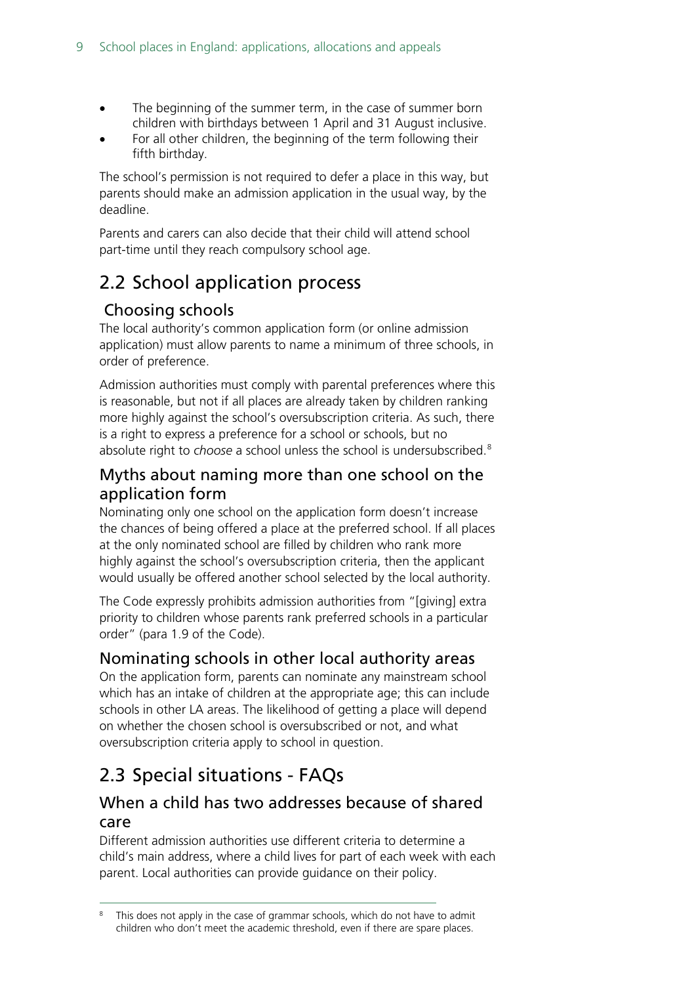- The beginning of the summer term, in the case of summer born children with birthdays between 1 April and 31 August inclusive.
- For all other children, the beginning of the term following their fifth birthday.

The school's permission is not required to defer a place in this way, but parents should make an admission application in the usual way, by the deadline.

Parents and carers can also decide that their child will attend school part-time until they reach compulsory school age.

## <span id="page-8-0"></span>2.2 School application process

### <span id="page-8-1"></span>Choosing schools

The local authority's common application form (or online admission application) must allow parents to name a minimum of three schools, in order of preference.

Admission authorities must comply with parental preferences where this is reasonable, but not if all places are already taken by children ranking more highly against the school's oversubscription criteria. As such, there is a right to express a preference for a school or schools, but no absolute right to *choose* a school unless the school is undersubscribed.[8](#page-8-6)

### <span id="page-8-2"></span>Myths about naming more than one school on the application form

Nominating only one school on the application form doesn't increase the chances of being offered a place at the preferred school. If all places at the only nominated school are filled by children who rank more highly against the school's oversubscription criteria, then the applicant would usually be offered another school selected by the local authority.

The Code expressly prohibits admission authorities from "[giving] extra priority to children whose parents rank preferred schools in a particular order" (para 1.9 of the Code).

### <span id="page-8-3"></span>Nominating schools in other local authority areas

On the application form, parents can nominate any mainstream school which has an intake of children at the appropriate age; this can include schools in other LA areas. The likelihood of getting a place will depend on whether the chosen school is oversubscribed or not, and what oversubscription criteria apply to school in question.

## <span id="page-8-4"></span>2.3 Special situations - FAQs

### <span id="page-8-5"></span>When a child has two addresses because of shared care

Different admission authorities use different criteria to determine a child's main address, where a child lives for part of each week with each parent. Local authorities can provide guidance on their policy.

<span id="page-8-6"></span>This does not apply in the case of grammar schools, which do not have to admit children who don't meet the academic threshold, even if there are spare places.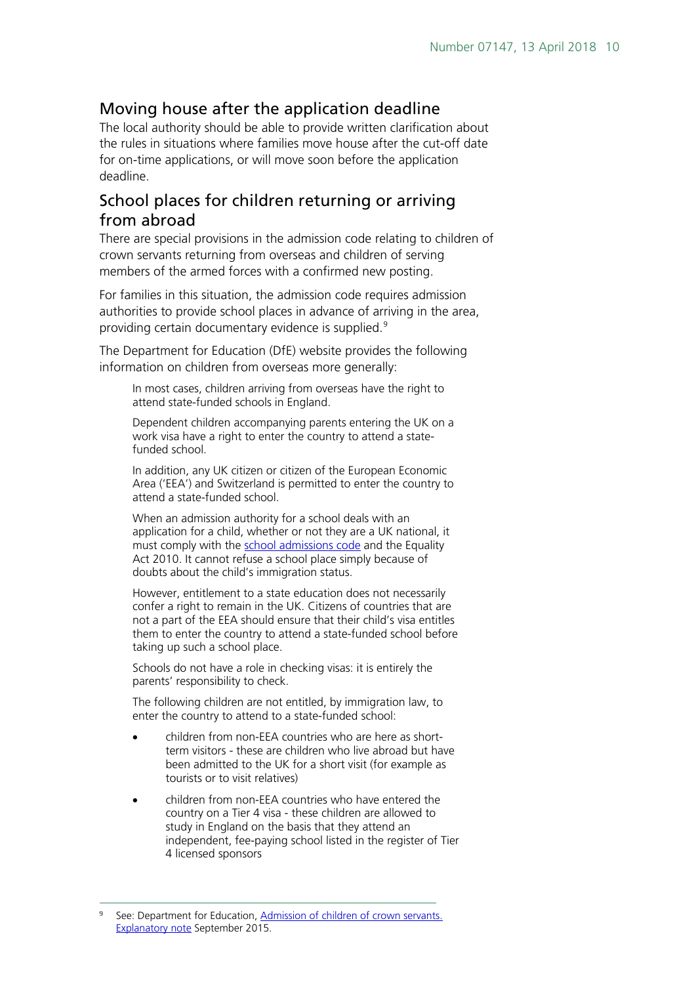### <span id="page-9-0"></span>Moving house after the application deadline

The local authority should be able to provide written clarification about the rules in situations where families move house after the cut-off date for on-time applications, or will move soon before the application deadline.

### <span id="page-9-1"></span>School places for children returning or arriving from abroad

There are special provisions in the admission code relating to children of crown servants returning from overseas and children of serving members of the armed forces with a confirmed new posting.

For families in this situation, the admission code requires admission authorities to provide school places in advance of arriving in the area, providing certain documentary evidence is supplied.<sup>[9](#page-9-2)</sup>

The Department for Education (DfE) website provides the following information on children from overseas more generally:

In most cases, children arriving from overseas have the right to attend state-funded schools in England.

Dependent children accompanying parents entering the UK on a work visa have a right to enter the country to attend a statefunded school.

In addition, any UK citizen or citizen of the European Economic Area ('EEA') and Switzerland is permitted to enter the country to attend a state-funded school.

When an admission authority for a school deals with an application for a child, whether or not they are a UK national, it must comply with the [school admissions](https://www.gov.uk/government/publications/school-admissions-code--2) code and the Equality Act 2010. It cannot refuse a school place simply because of doubts about the child's immigration status.

However, entitlement to a state education does not necessarily confer a right to remain in the UK. Citizens of countries that are not a part of the EEA should ensure that their child's visa entitles them to enter the country to attend a state-funded school before taking up such a school place.

Schools do not have a role in checking visas: it is entirely the parents' responsibility to check.

The following children are not entitled, by immigration law, to enter the country to attend to a state-funded school:

- children from non-EEA countries who are here as shortterm visitors - these are children who live abroad but have been admitted to the UK for a short visit (for example as tourists or to visit relatives)
- children from non-EEA countries who have entered the country on a Tier 4 visa - these children are allowed to study in England on the basis that they attend an independent, fee-paying school listed in the register of Tier 4 licensed sponsors

<span id="page-9-2"></span> $\overline{a}$ See: Department for Education, Admission of children of crown servants. [Explanatory note](https://www.gov.uk/government/publications/school-admissions-code--2) [S](https://www.gov.uk/government/publications/school-admissions-code--2)eptember 2015.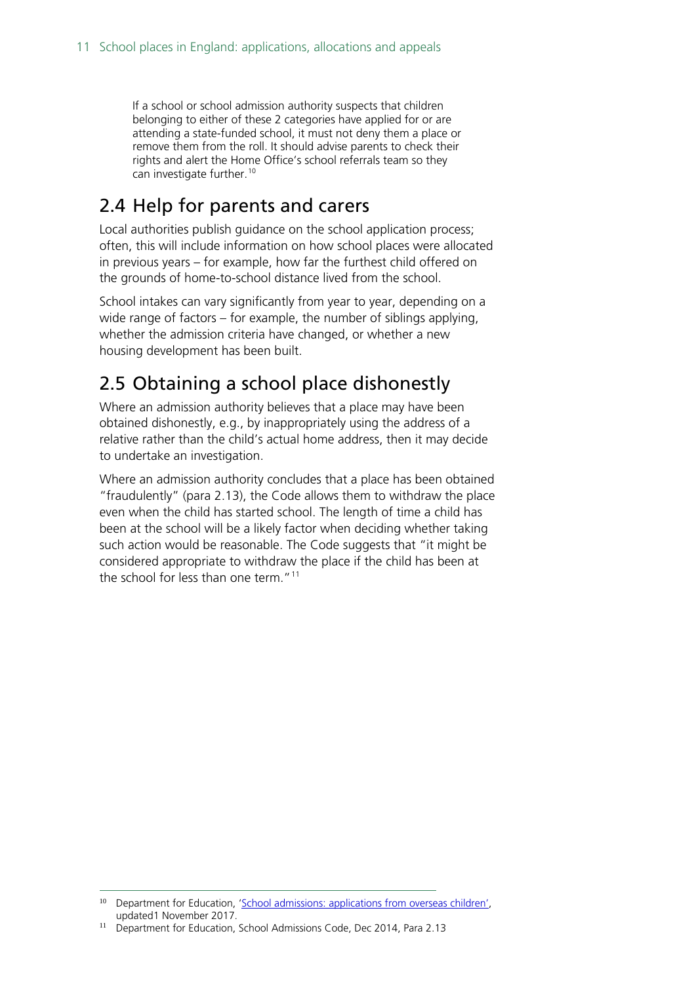If a school or school admission authority suspects that children belonging to either of these 2 categories have applied for or are attending a state-funded school, it must not deny them a place or remove them from the roll. It should advise parents to check their rights and alert the Home Office's school referrals team so they can investigate further.<sup>[10](#page-10-2)</sup>

## <span id="page-10-0"></span>2.4 Help for parents and carers

Local authorities publish guidance on the school application process; often, this will include information on how school places were allocated in previous years – for example, how far the furthest child offered on the grounds of home-to-school distance lived from the school.

School intakes can vary significantly from year to year, depending on a wide range of factors – for example, the number of siblings applying, whether the admission criteria have changed, or whether a new housing development has been built.

## <span id="page-10-1"></span>2.5 Obtaining a school place dishonestly

Where an admission authority believes that a place may have been obtained dishonestly, e.g., by inappropriately using the address of a relative rather than the child's actual home address, then it may decide to undertake an investigation.

Where an admission authority concludes that a place has been obtained "fraudulently" (para 2.13), the Code allows them to withdraw the place even when the child has started school. The length of time a child has been at the school will be a likely factor when deciding whether taking such action would be reasonable. The Code suggests that "it might be considered appropriate to withdraw the place if the child has been at the school for less than one term."<sup>[11](#page-10-3)</sup>

<span id="page-10-2"></span><sup>-</sup><sup>10</sup> Department for Education, ['School admissions: applications from overseas children',](https://www.gov.uk/guidance/schools-admissions-applications-from-overseas-children) updated1 November 2017.

<span id="page-10-3"></span><sup>&</sup>lt;sup>11</sup> Department for Education, School Admissions Code, Dec 2014, Para 2.13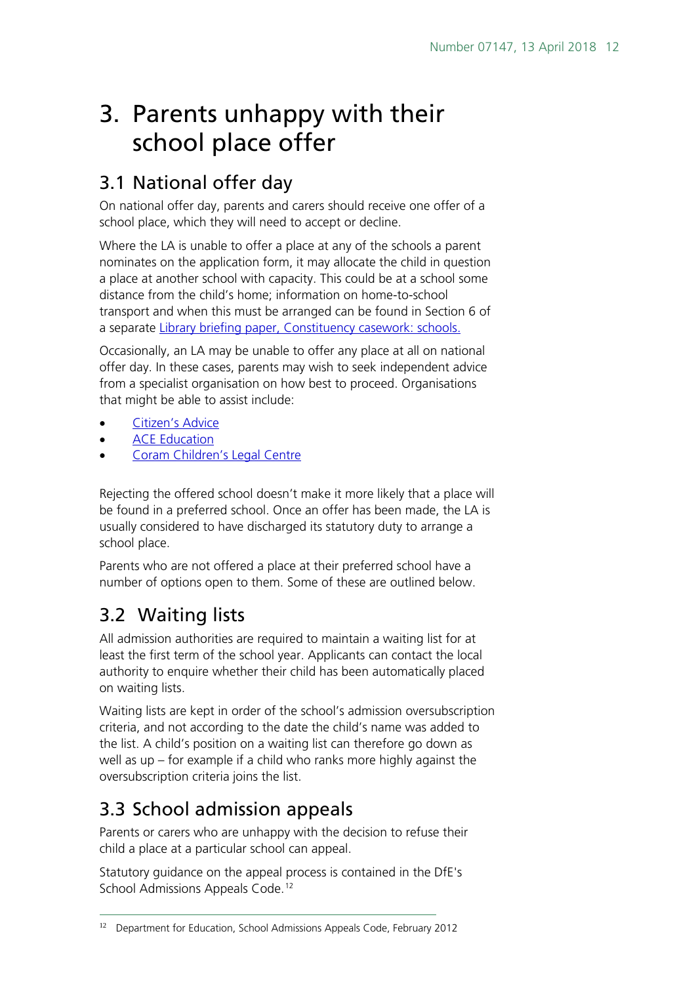## <span id="page-11-0"></span>3. Parents unhappy with their school place offer

## <span id="page-11-1"></span>3.1 National offer day

On national offer day, parents and carers should receive one offer of a school place, which they will need to accept or decline.

Where the LA is unable to offer a place at any of the schools a parent nominates on the application form, it may allocate the child in question a place at another school with capacity. This could be at a school some distance from the child's home; information on home-to-school transport and when this must be arranged can be found in Section 6 of a separate [Library briefing paper, Constituency casework: schools.](http://researchbriefings.files.parliament.uk/documents/SN05396/SN05396.pdf) 

Occasionally, an LA may be unable to offer any place at all on national offer day. In these cases, parents may wish to seek independent advice from a specialist organisation on how best to proceed. Organisations that might be able to assist include:

- [Citizen's Advice](http://www.citizensadvice.org.uk/)
- **[ACE Education](http://www.ace-ed.org.uk/)**
- [Coram Children's Legal Centre](http://www.childrenslegalcentre.com/index.php?page=education_legal_practice)

Rejecting the offered school doesn't make it more likely that a place will be found in a preferred school. Once an offer has been made, the LA is usually considered to have discharged its statutory duty to arrange a school place.

Parents who are not offered a place at their preferred school have a number of options open to them. Some of these are outlined below.

## <span id="page-11-2"></span>3.2 Waiting lists

 $\overline{a}$ 

All admission authorities are required to maintain a waiting list for at least the first term of the school year. Applicants can contact the local authority to enquire whether their child has been automatically placed on waiting lists.

Waiting lists are kept in order of the school's admission oversubscription criteria, and not according to the date the child's name was added to the list. A child's position on a waiting list can therefore go down as well as up – for example if a child who ranks more highly against the oversubscription criteria joins the list.

## <span id="page-11-3"></span>3.3 School admission appeals

Parents or carers who are unhappy with the decision to refuse their child a place at a particular school can appeal.

Statutory guidance on the appeal process is contained in the DfE's School Admissions Appeals Code.<sup>[12](#page-11-4)</sup>

<span id="page-11-4"></span><sup>&</sup>lt;sup>12</sup> Department for Education, School Admissions Appeals Code, February 2012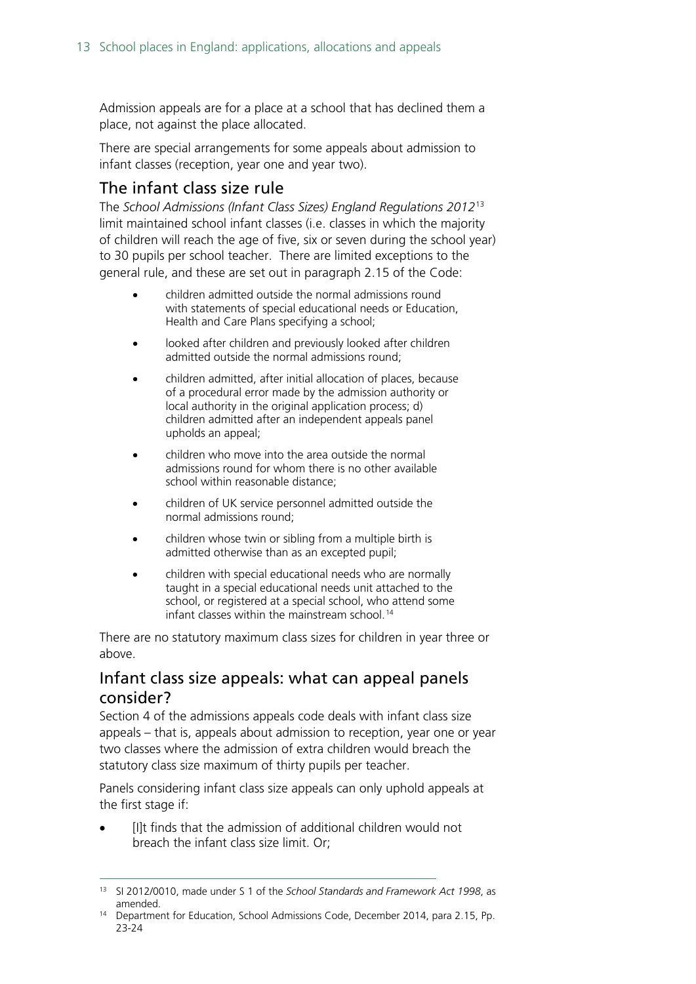Admission appeals are for a place at a school that has declined them a place, not against the place allocated.

There are special arrangements for some appeals about admission to infant classes (reception, year one and year two).

### <span id="page-12-0"></span>The infant class size rule

The *School Admissions (Infant Class Sizes) England Regulations 2012*[13](#page-12-2) limit maintained school infant classes (i.e. classes in which the majority of children will reach the age of five, six or seven during the school year) to 30 pupils per school teacher. There are limited exceptions to the general rule, and these are set out in paragraph 2.15 of the Code:

- children admitted outside the normal admissions round with statements of special educational needs or Education, Health and Care Plans specifying a school;
- looked after children and previously looked after children admitted outside the normal admissions round;
- children admitted, after initial allocation of places, because of a procedural error made by the admission authority or local authority in the original application process; d) children admitted after an independent appeals panel upholds an appeal;
- children who move into the area outside the normal admissions round for whom there is no other available school within reasonable distance;
- children of UK service personnel admitted outside the normal admissions round;
- children whose twin or sibling from a multiple birth is admitted otherwise than as an excepted pupil;
- children with special educational needs who are normally taught in a special educational needs unit attached to the school, or registered at a special school, who attend some infant classes within the mainstream school. [14](#page-12-3)

There are no statutory maximum class sizes for children in year three or above.

### <span id="page-12-1"></span>Infant class size appeals: what can appeal panels consider?

Section 4 of the admissions appeals code deals with infant class size appeals – that is, appeals about admission to reception, year one or year two classes where the admission of extra children would breach the statutory class size maximum of thirty pupils per teacher.

Panels considering infant class size appeals can only uphold appeals at the first stage if:

[I]t finds that the admission of additional children would not breach the infant class size limit. Or;

<span id="page-12-2"></span> <sup>13</sup> SI 2012/0010, made under S 1 of the *School Standards and Framework Act 1998*, as

<span id="page-12-3"></span><sup>&</sup>lt;sup>14</sup> Department for Education, School Admissions Code, December 2014, para 2.15, Pp. 23-24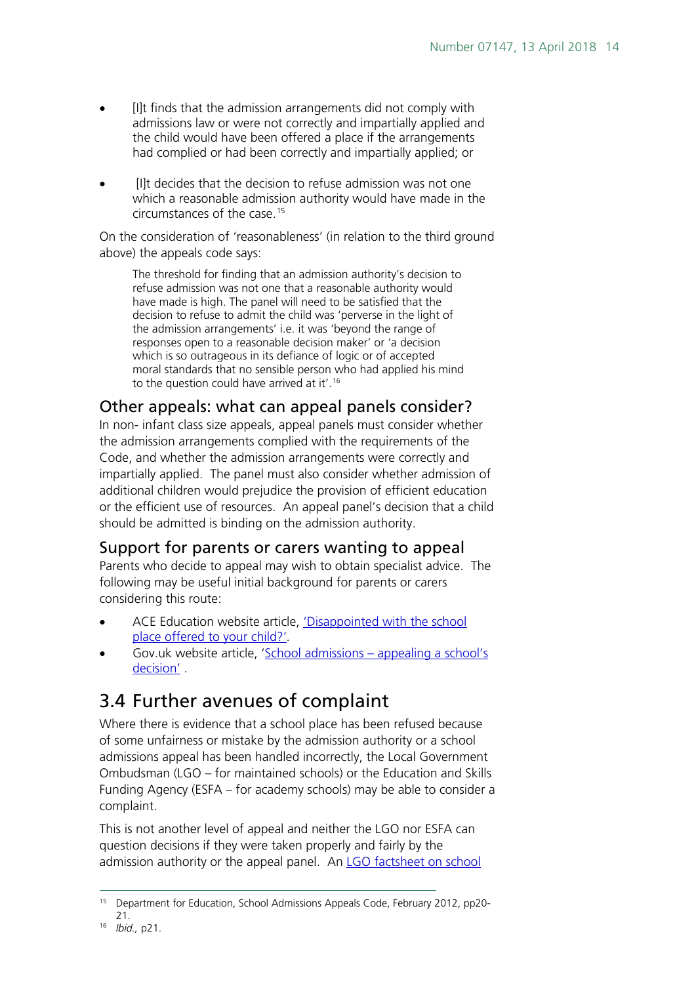- [I]t finds that the admission arrangements did not comply with admissions law or were not correctly and impartially applied and the child would have been offered a place if the arrangements had complied or had been correctly and impartially applied; or
- [I]t decides that the decision to refuse admission was not one which a reasonable admission authority would have made in the circumstances of the case.[15](#page-13-3)

On the consideration of 'reasonableness' (in relation to the third ground above) the appeals code says:

The threshold for finding that an admission authority's decision to refuse admission was not one that a reasonable authority would have made is high. The panel will need to be satisfied that the decision to refuse to admit the child was 'perverse in the light of the admission arrangements' i.e. it was 'beyond the range of responses open to a reasonable decision maker' or 'a decision which is so outrageous in its defiance of logic or of accepted moral standards that no sensible person who had applied his mind to the question could have arrived at it'. [16](#page-13-4)

### <span id="page-13-0"></span>Other appeals: what can appeal panels consider?

In non- infant class size appeals, appeal panels must consider whether the admission arrangements complied with the requirements of the Code, and whether the admission arrangements were correctly and impartially applied. The panel must also consider whether admission of additional children would prejudice the provision of efficient education or the efficient use of resources. An appeal panel's decision that a child should be admitted is binding on the admission authority.

### <span id="page-13-1"></span>Support for parents or carers wanting to appeal

Parents who decide to appeal may wish to obtain specialist advice. The following may be useful initial background for parents or carers considering this route:

- ACE Education website article, ['Disappointed with the school](http://www.ace-ed.org.uk/advice-about-education-for-parents/School_Admissions_and_Appeals/Disappointed_with_your_secondary_school_offer)  [place offered to your](http://www.ace-ed.org.uk/advice-about-education-for-parents/School_Admissions_and_Appeals/Disappointed_with_your_secondary_school_offer) [child?'](http://www.ace-ed.org.uk/advice-about-education-for-parents/School_Admissions_and_Appeals/Disappointed_with_your_secondary_school_offer)*.*
- Gov.uk website article, 'School admissions [appealing a school's](https://www.gov.uk/schools-admissions/appealing-a-schools-decision)  [decision'](https://www.gov.uk/schools-admissions/appealing-a-schools-decision) .

### <span id="page-13-2"></span>3.4 Further avenues of complaint

Where there is evidence that a school place has been refused because of some unfairness or mistake by the admission authority or a school admissions appeal has been handled incorrectly, the Local Government Ombudsman (LGO – for maintained schools) or the Education and Skills Funding Agency (ESFA – for academy schools) may be able to consider a complaint.

This is not another level of appeal and neither the LGO nor ESFA can question decisions if they were taken properly and fairly by the admission authority or the appeal panel. An LGO factsheet on school

<span id="page-13-3"></span><sup>&</sup>lt;sup>15</sup> Department for Education, School Admissions Appeals Code, February 2012, pp20-21.

<span id="page-13-4"></span><sup>16</sup> *Ibid.,* p21.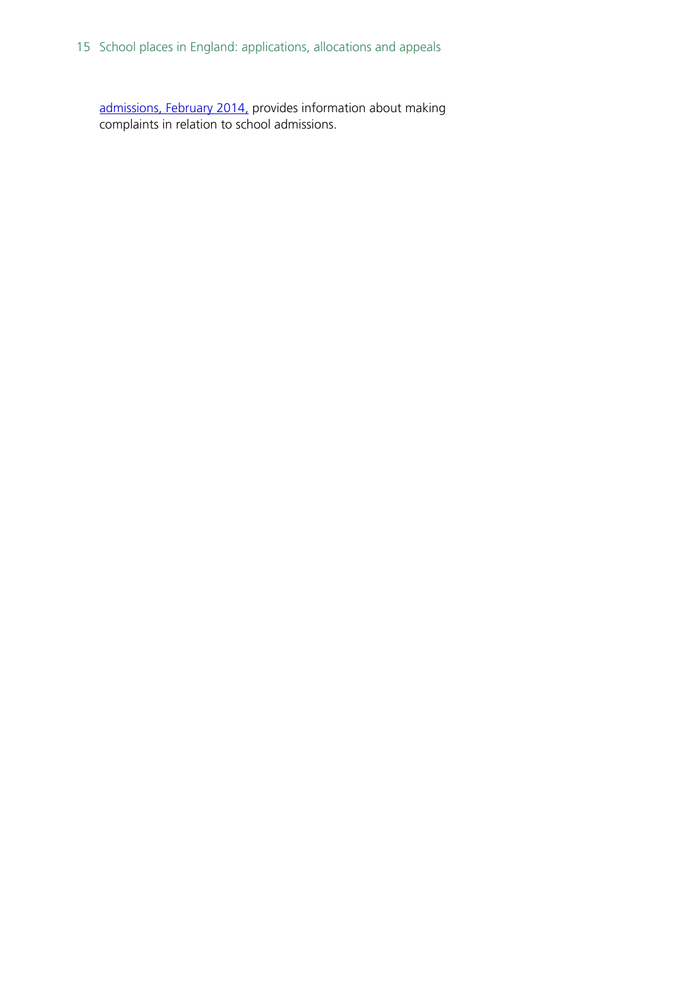15 School places in England: applications, allocations and appeals

[admissions, February 2014,](http://www.lgo.org.uk/make-a-complaint/fact-sheets/education/school-admissions) provides information about making complaints in relation to school admissions.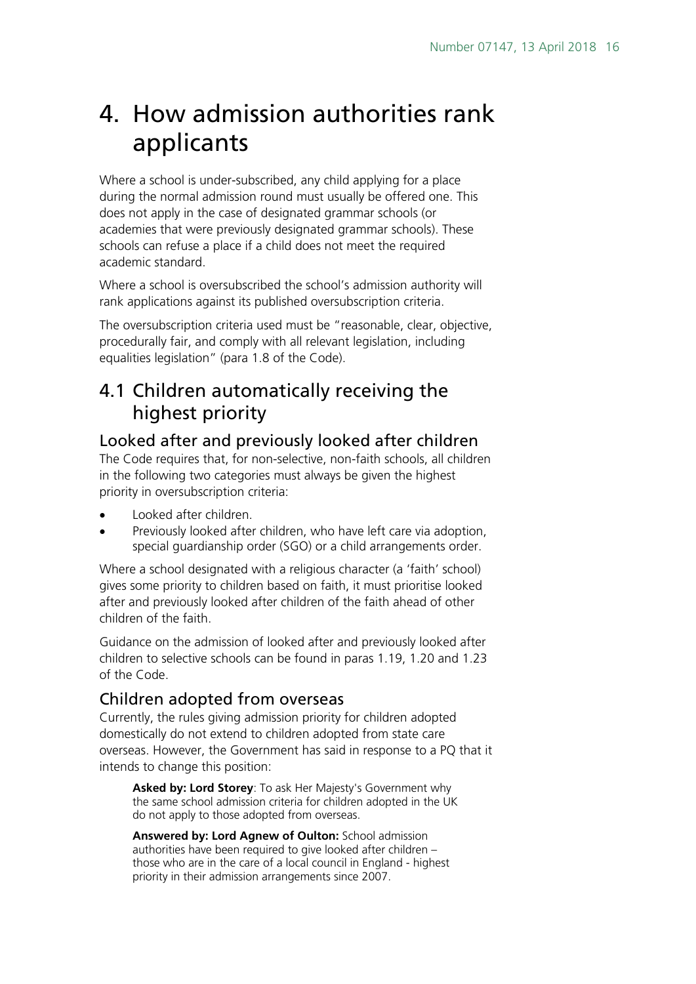## <span id="page-15-0"></span>4. How admission authorities rank applicants

Where a school is under-subscribed, any child applying for a place during the normal admission round must usually be offered one. This does not apply in the case of designated grammar schools (or academies that were previously designated grammar schools). These schools can refuse a place if a child does not meet the required academic standard.

Where a school is oversubscribed the school's admission authority will rank applications against its published oversubscription criteria.

The oversubscription criteria used must be "reasonable, clear, objective, procedurally fair, and comply with all relevant legislation, including equalities legislation" (para 1.8 of the Code).

### <span id="page-15-1"></span>4.1 Children automatically receiving the highest priority

### <span id="page-15-2"></span>Looked after and previously looked after children

The Code requires that, for non-selective, non-faith schools, all children in the following two categories must always be given the highest priority in oversubscription criteria:

- Looked after children.
- Previously looked after children, who have left care via adoption, special guardianship order (SGO) or a child arrangements order.

Where a school designated with a religious character (a 'faith' school) gives some priority to children based on faith, it must prioritise looked after and previously looked after children of the faith ahead of other children of the faith.

Guidance on the admission of looked after and previously looked after children to selective schools can be found in paras 1.19, 1.20 and 1.23 of the Code.

### <span id="page-15-3"></span>Children adopted from overseas

Currently, the rules giving admission priority for children adopted domestically do not extend to children adopted from state care overseas. However, the Government has said in response to a PQ that it intends to change this position:

**Asked by: Lord Storey**: To ask Her Majesty's Government why the same school admission criteria for children adopted in the UK do not apply to those adopted from overseas.

**Answered by: Lord Agnew of Oulton:** School admission authorities have been required to give looked after children – those who are in the care of a local council in England - highest priority in their admission arrangements since 2007.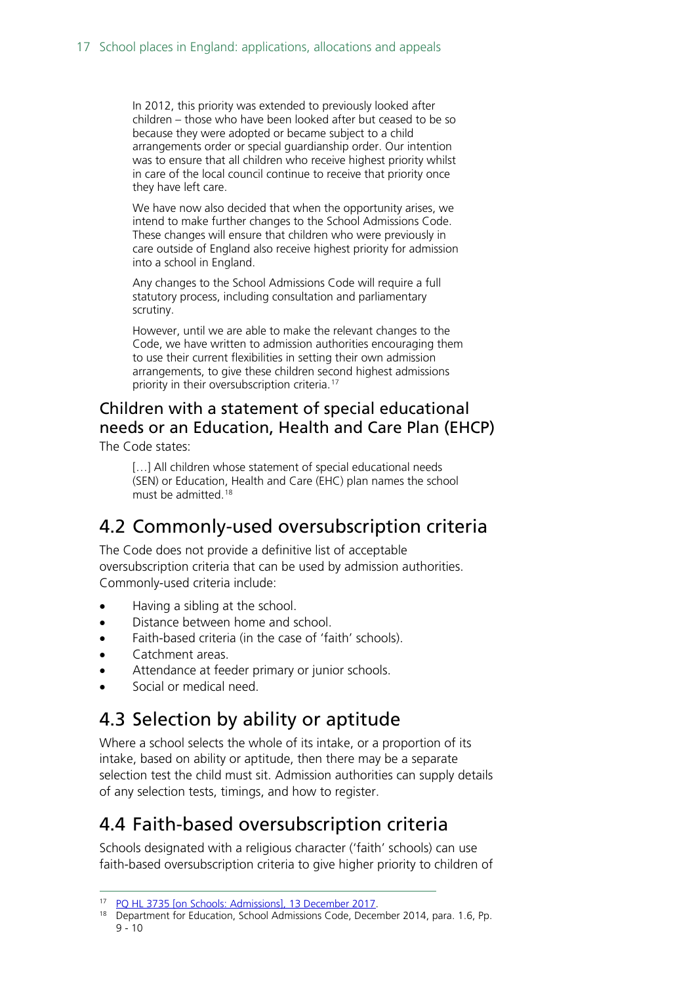In 2012, this priority was extended to previously looked after children – those who have been looked after but ceased to be so because they were adopted or became subject to a child arrangements order or special guardianship order. Our intention was to ensure that all children who receive highest priority whilst in care of the local council continue to receive that priority once they have left care.

We have now also decided that when the opportunity arises, we intend to make further changes to the School Admissions Code. These changes will ensure that children who were previously in care outside of England also receive highest priority for admission into a school in England.

Any changes to the School Admissions Code will require a full statutory process, including consultation and parliamentary scrutiny.

However, until we are able to make the relevant changes to the Code, we have written to admission authorities encouraging them to use their current flexibilities in setting their own admission arrangements, to give these children second highest admissions priority in their oversubscription criteria.<sup>[17](#page-16-4)</sup>

### <span id="page-16-0"></span>Children with a statement of special educational needs or an Education, Health and Care Plan (EHCP) The Code states:

[...] All children whose statement of special educational needs (SEN) or Education, Health and Care (EHC) plan names the school must be admitted. [18](#page-16-5)

### <span id="page-16-1"></span>4.2 Commonly-used oversubscription criteria

The Code does not provide a definitive list of acceptable oversubscription criteria that can be used by admission authorities. Commonly-used criteria include:

- Having a sibling at the school.
- Distance between home and school.
- Faith-based criteria (in the case of 'faith' schools).
- Catchment areas.
- Attendance at feeder primary or junior schools.
- Social or medical need.

### <span id="page-16-2"></span>4.3 Selection by ability or aptitude

Where a school selects the whole of its intake, or a proportion of its intake, based on ability or aptitude, then there may be a separate selection test the child must sit. Admission authorities can supply details of any selection tests, timings, and how to register.

### <span id="page-16-3"></span>4.4 Faith-based oversubscription criteria

Schools designated with a religious character ('faith' schools) can use faith-based oversubscription criteria to give higher priority to children of

<span id="page-16-4"></span> <sup>17</sup> [PQ HL 3735 \[on Schools: Admissions\], 13 December 2017.](http://www.parliament.uk/written-questions-answers-statements/written-question/lords/2017-11-29/HL3735)

<span id="page-16-5"></span><sup>&</sup>lt;sup>18</sup> Department for Education, School Admissions Code, December 2014, para. 1.6, Pp. 9 - 10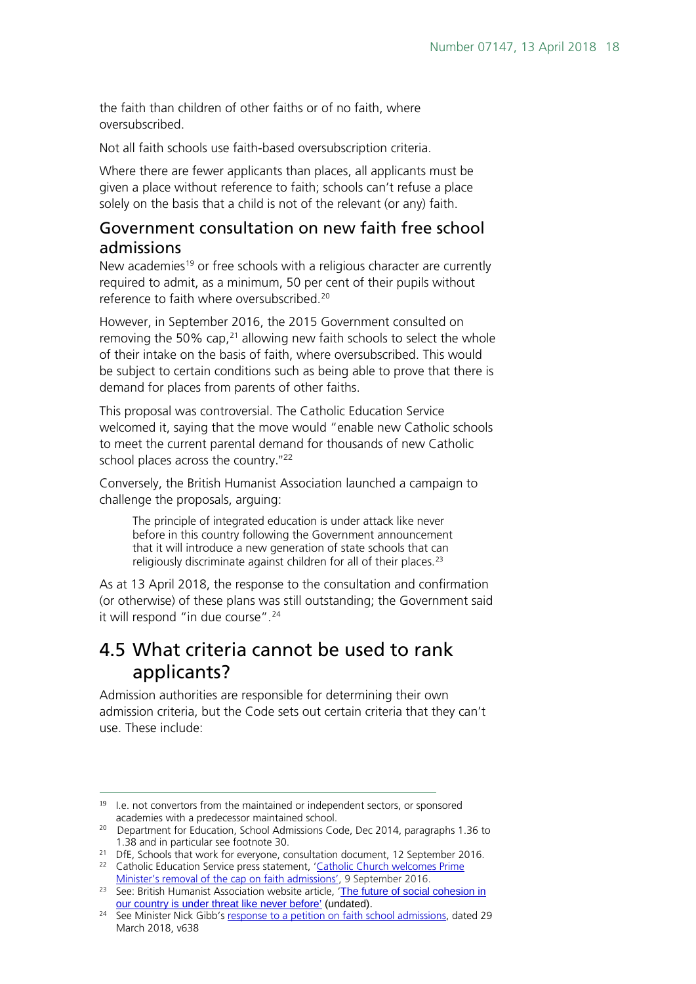the faith than children of other faiths or of no faith, where oversubscribed.

Not all faith schools use faith-based oversubscription criteria.

Where there are fewer applicants than places, all applicants must be given a place without reference to faith; schools can't refuse a place solely on the basis that a child is not of the relevant (or any) faith.

#### <span id="page-17-0"></span>Government consultation on new faith free school admissions

New academies<sup>[19](#page-17-2)</sup> or free schools with a religious character are currently required to admit, as a minimum, 50 per cent of their pupils without reference to faith where oversubscribed.<sup>[20](#page-17-3)</sup>

However, in September 2016, the 2015 Government consulted on removing the 50% cap, $21$  allowing new faith schools to select the whole of their intake on the basis of faith, where oversubscribed. This would be subject to certain conditions such as being able to prove that there is demand for places from parents of other faiths.

This proposal was controversial. The Catholic Education Service welcomed it, saying that the move would "enable new Catholic schools to meet the current parental demand for thousands of new Catholic school places across the country."<sup>[22](#page-17-5)</sup>

Conversely, the British Humanist Association launched a campaign to challenge the proposals, arguing:

The principle of integrated education is under attack like never before in this country following the Government announcement that it will introduce a new generation of state schools that can religiously discriminate against children for all of their places.<sup>[23](#page-17-6)</sup>

As at 13 April 2018, the response to the consultation and confirmation (or otherwise) of these plans was still outstanding; the Government said it will respond "in due course".<sup>[24](#page-17-7)</sup>

### <span id="page-17-1"></span>4.5 What criteria cannot be used to rank applicants?

Admission authorities are responsible for determining their own admission criteria, but the Code sets out certain criteria that they can't use. These include:

 $\overline{a}$ 

<span id="page-17-2"></span><sup>&</sup>lt;sup>19</sup> I.e. not convertors from the maintained or independent sectors, or sponsored

<span id="page-17-3"></span>academies with a predecessor maintained school. 20 Department for Education, School Admissions Code, Dec 2014, paragraphs 1.36 to 1.38 and in particular see footnote 30. 21 DfE, Schools that work for everyone, consultation document, 12 September 2016.

<span id="page-17-5"></span><span id="page-17-4"></span><sup>&</sup>lt;sup>22</sup> Catholic Education Service press statement, 'Catholic Church welcomes Prime<br>Minister's removal of the cap on faith admissions'. 9 September 2016.

<span id="page-17-6"></span> $\overline{P}^{23}$  See: British Humanist Association website article, 'The future of social cohesion in [our country is under threat like never before'](https://humanism.org.uk/what-you-can-do-to-help/contact-your-mp-to-oppose-plans-for-a-new-generation-of-100-religiously-selective-schools/) (undated).

<span id="page-17-7"></span><sup>&</sup>lt;sup>24</sup> See Minister Nick Gibb's [response to a petition on faith school admissions,](https://hansard.parliament.uk/Commons/2018-03-29/debates/18032963000079/NationalAdmissionsPolicyForFaithSchools#contribution-08FECAC1-5443-44DE-B617-60EB935802B2) dated 29 March 2018, v638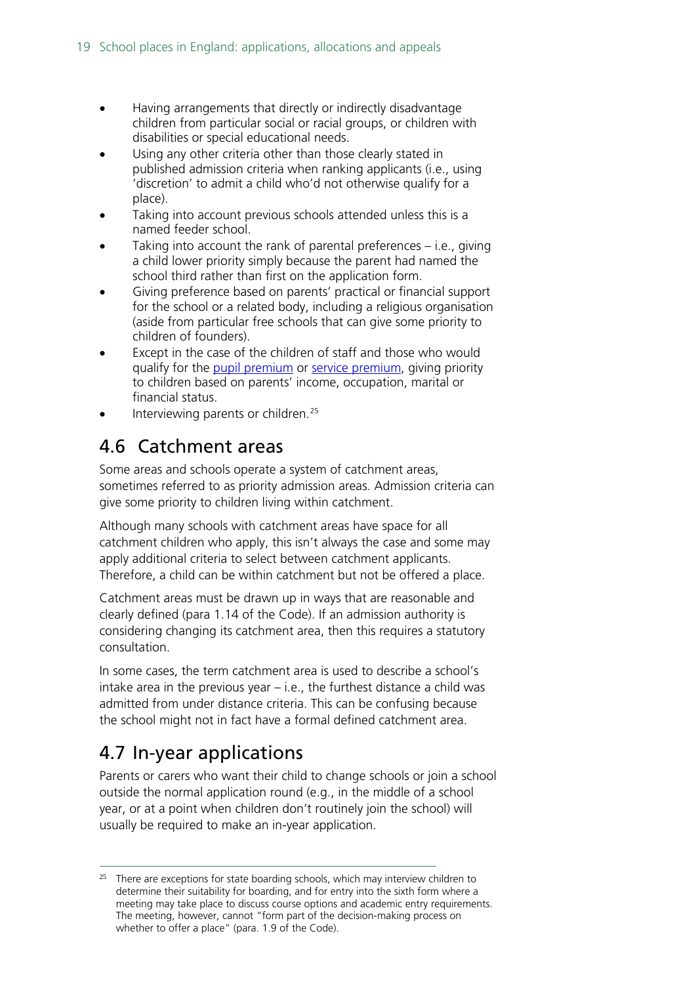- Having arrangements that directly or indirectly disadvantage children from particular social or racial groups, or children with disabilities or special educational needs.
- Using any other criteria other than those clearly stated in published admission criteria when ranking applicants (i.e., using 'discretion' to admit a child who'd not otherwise qualify for a place).
- Taking into account previous schools attended unless this is a named feeder school.
- Taking into account the rank of parental preferences  $-$  i.e., giving a child lower priority simply because the parent had named the school third rather than first on the application form.
- Giving preference based on parents' practical or financial support for the school or a related body, including a religious organisation (aside from particular free schools that can give some priority to children of founders).
- Except in the case of the children of staff and those who would qualify for the [pupil premium](https://www.gov.uk/government/publications/pupil-premium-conditions-of-grant-2017-to-2018) or [service premium,](https://www.gov.uk/government/publications/the-service-pupil-premium/service-pupil-premium-what-you-need-to-know) giving priority to children based on parents' income, occupation, marital or financial status.
- Interviewing parents or children.<sup>25</sup>

## <span id="page-18-0"></span>4.6 Catchment areas

Some areas and schools operate a system of catchment areas, sometimes referred to as priority admission areas. Admission criteria can give some priority to children living within catchment.

Although many schools with catchment areas have space for all catchment children who apply, this isn't always the case and some may apply additional criteria to select between catchment applicants. Therefore, a child can be within catchment but not be offered a place.

Catchment areas must be drawn up in ways that are reasonable and clearly defined (para 1.14 of the Code). If an admission authority is considering changing its catchment area, then this requires a statutory consultation.

In some cases, the term catchment area is used to describe a school's intake area in the previous year – i.e., the furthest distance a child was admitted from under distance criteria. This can be confusing because the school might not in fact have a formal defined catchment area.

## <span id="page-18-1"></span>4.7 In-year applications

-

Parents or carers who want their child to change schools or join a school outside the normal application round (e.g., in the middle of a school year, or at a point when children don't routinely join the school) will usually be required to make an in-year application.

<span id="page-18-2"></span> $25$  There are exceptions for state boarding schools, which may interview children to determine their suitability for boarding, and for entry into the sixth form where a meeting may take place to discuss course options and academic entry requirements. The meeting, however, cannot "form part of the decision-making process on whether to offer a place" (para. 1.9 of the Code).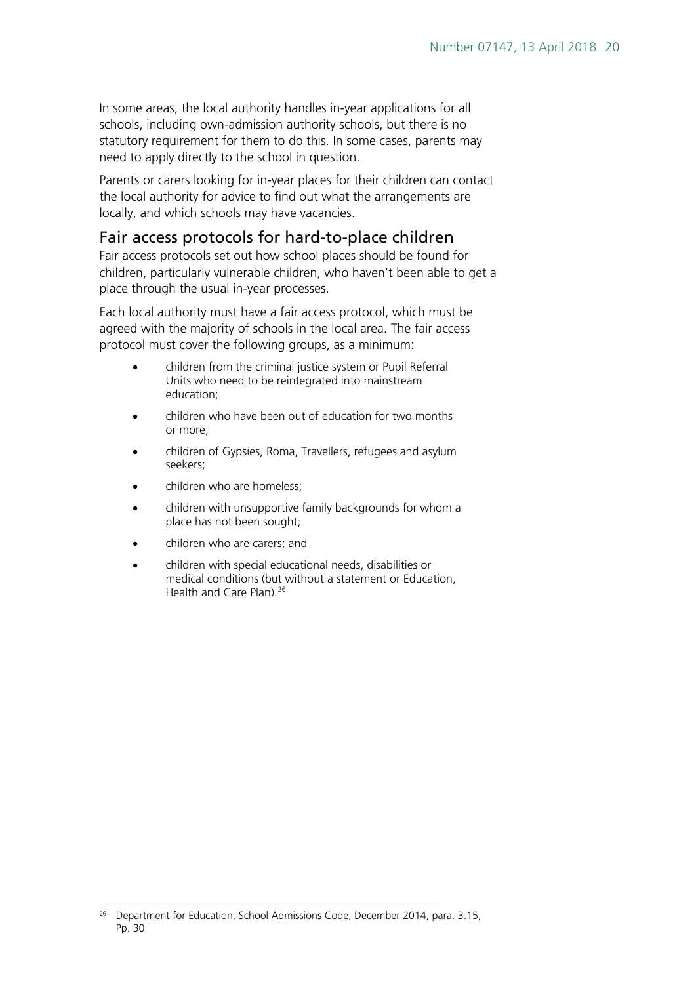In some areas, the local authority handles in-year applications for all schools, including own-admission authority schools, but there is no statutory requirement for them to do this. In some cases, parents may need to apply directly to the school in question.

Parents or carers looking for in-year places for their children can contact the local authority for advice to find out what the arrangements are locally, and which schools may have vacancies.

#### <span id="page-19-0"></span>Fair access protocols for hard-to-place children

Fair access protocols set out how school places should be found for children, particularly vulnerable children, who haven't been able to get a place through the usual in-year processes.

Each local authority must have a fair access protocol, which must be agreed with the majority of schools in the local area. The fair access protocol must cover the following groups, as a minimum:

- children from the criminal justice system or Pupil Referral Units who need to be reintegrated into mainstream education;
- children who have been out of education for two months or more;
- children of Gypsies, Roma, Travellers, refugees and asylum seekers;
- children who are homeless;
- children with unsupportive family backgrounds for whom a place has not been sought;
- children who are carers; and
- children with special educational needs, disabilities or medical conditions (but without a statement or Education, Health and Care Plan).<sup>[26](#page-19-1)</sup>

<span id="page-19-1"></span> $\overline{a}$ <sup>26</sup> Department for Education, School Admissions Code, December 2014, para, 3.15, Pp. 30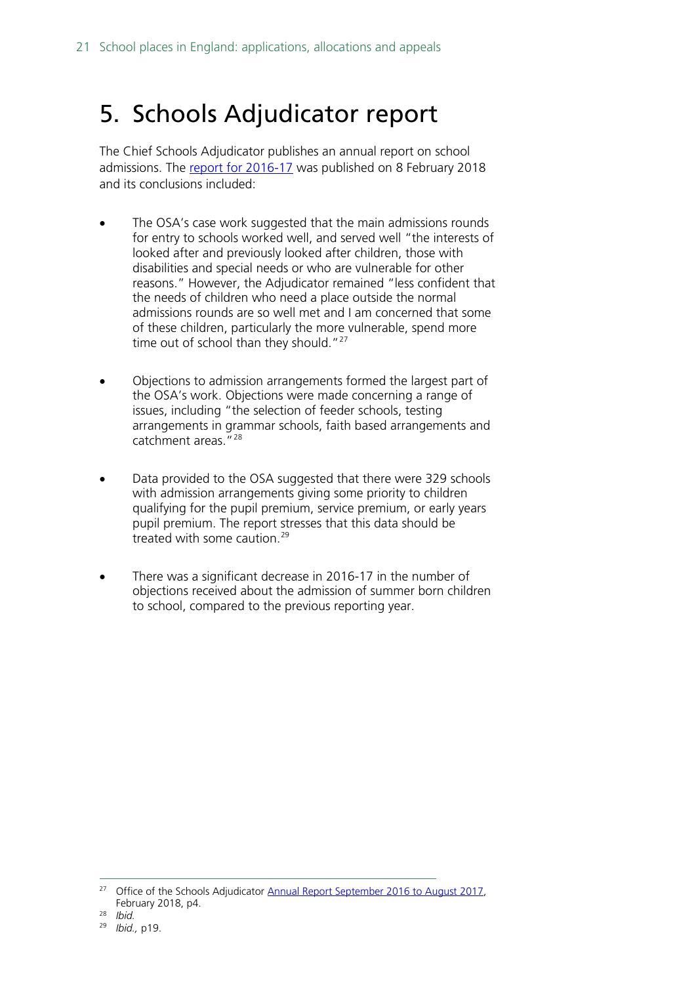## <span id="page-20-0"></span>5. Schools Adjudicator report

The Chief Schools Adjudicator publishes an annual report on school admissions. The [report for 2016-17](https://assets.publishing.service.gov.uk/government/uploads/system/uploads/attachment_data/file/680003/2017_OSA_Annual_Report_-_Final_23_January_2018.pdf) was published on 8 February 2018 and its conclusions included:

- The OSA's case work suggested that the main admissions rounds for entry to schools worked well, and served well "the interests of looked after and previously looked after children, those with disabilities and special needs or who are vulnerable for other reasons." However, the Adjudicator remained "less confident that the needs of children who need a place outside the normal admissions rounds are so well met and I am concerned that some of these children, particularly the more vulnerable, spend more time out of school than they should."<sup>[27](#page-20-1)</sup>
- Objections to admission arrangements formed the largest part of the OSA's work. Objections were made concerning a range of issues, including "the selection of feeder schools, testing arrangements in grammar schools, faith based arrangements and catchment areas."[28](#page-20-2)
- Data provided to the OSA suggested that there were 329 schools with admission arrangements giving some priority to children qualifying for the pupil premium, service premium, or early years pupil premium. The report stresses that this data should be treated with some caution.[29](#page-20-3)
- There was a significant decrease in 2016-17 in the number of objections received about the admission of summer born children to school, compared to the previous reporting year.

<span id="page-20-1"></span><sup>&</sup>lt;sup>27</sup> Office of the Schools Adjudicator [Annual Report September 2016 to August 2017,](https://assets.publishing.service.gov.uk/government/uploads/system/uploads/attachment_data/file/680003/2017_OSA_Annual_Report_-_Final_23_January_2018.pdf) February 2018, p4.

<span id="page-20-2"></span><sup>28</sup> *Ibid.*

<span id="page-20-3"></span><sup>29</sup> *Ibid.,* p19.